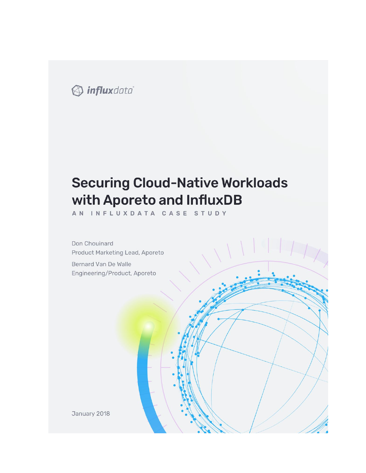

# **Securing Cloud-Native Workloads** with Aporeto and InfluxDB

AN INFLUXDATA CASE STUDY

Don Chouinard Product Marketing Lead, Aporeto

Bernard Van De Walle Engineering/Product, Aporeto

January 2018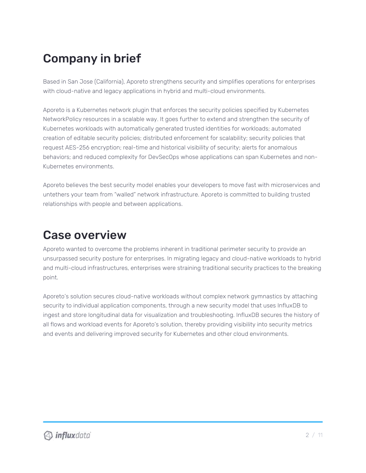# Company in brief

Based in San Jose (California), Aporeto strengthens security and simplifies operations for enterprises with cloud-native and legacy applications in hybrid and multi-cloud environments.

Aporeto is a Kubernetes network plugin that enforces the security policies specified by Kubernetes NetworkPolicy resources in a scalable way. It goes further to extend and strengthen the security of Kubernetes workloads with automatically generated trusted identities for workloads; automated creation of editable security policies; distributed enforcement for scalability; security policies that request AES-256 encryption; real-time and historical visibility of security; alerts for anomalous behaviors; and reduced complexity for DevSecOps whose applications can span Kubernetes and non-Kubernetes environments.

Aporeto believes the best security model enables your developers to move fast with microservices and untethers your team from "walled" network infrastructure. Aporeto is committed to building trusted relationships with people and between applications.

## Case overview

Aporeto wanted to overcome the problems inherent in traditional perimeter security to provide an unsurpassed security posture for enterprises. In migrating legacy and cloud-native workloads to hybrid and multi-cloud infrastructures, enterprises were straining traditional security practices to the breaking point.

Aporeto's solution secures cloud-native workloads without complex network gymnastics by attaching security to individual application components, through a new security model that uses InfluxDB to ingest and store longitudinal data for visualization and troubleshooting. InfluxDB secures the history of all flows and workload events for Aporeto's solution, thereby providing visibility into security metrics and events and delivering improved security for Kubernetes and other cloud environments.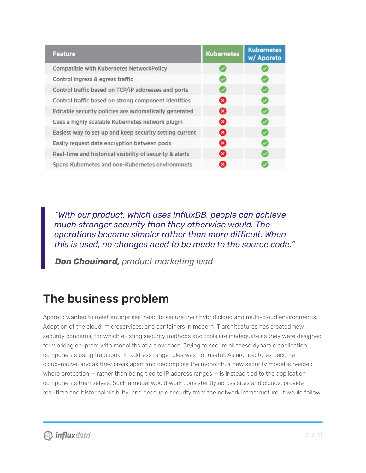| <b>Feature</b>                                           | <b>Kubernetes</b> | <b>Kubernetes</b><br>w/ Aporeto |
|----------------------------------------------------------|-------------------|---------------------------------|
| <b>Compatible with Kubernetes NetworkPolicy</b>          |                   |                                 |
| Control ingress & egress traffic                         |                   |                                 |
| Control traffic based on TCP/iP addresses and ports      |                   |                                 |
| Control traffic based on strong component identities     | Ø                 |                                 |
| Editable security policies are automatically generated   | ⊗                 |                                 |
| Uses a highly scalable Kubernetes network plugin         | ☎                 |                                 |
| Easiest way to set up and keep security setting current  | ⊗                 |                                 |
| Easily request data encryption between pods              | ☎                 |                                 |
| Real-time and historical visibility of security & alerts | ☎                 |                                 |
| Spans Kubernetes and non-Kubernetes environmnets         | $\bm{\times}$     |                                 |

*"With our product, which uses InfluxDB, people can achieve much stronger security than they otherwise would. The operations become simpler rather than more difficult. When this is used, no changes need to be made to the source code."*

*Don Chouinard, product marketing lead*

## The business problem

Aporeto wanted to meet enterprises' need to secure their hybrid cloud and multi-cloud environments. Adoption of the cloud, microservices, and containers in modern IT architectures has created new security concerns, for which existing security methods and tools are inadequate as they were designed for working on-prem with monoliths at a slow pace. Trying to secure all these dynamic application components using traditional IP address range rules was not useful. As architectures become cloud-native, and as they break apart and decompose the monolith, a new security model is needed where protection – rather than being tied to IP address ranges – is instead tied to the application components themselves. Such a model would work consistently across sites and clouds, provide real-time and historical visibility, and decouple security from the network infrastructure. It would follow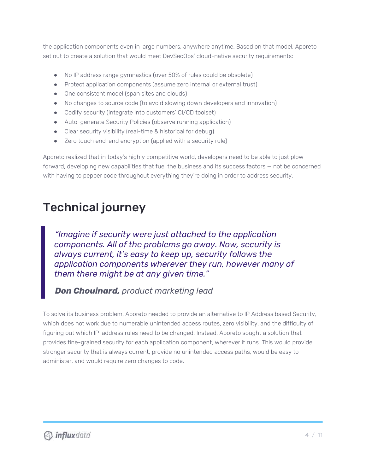the application components even in large numbers, anywhere anytime. Based on that model, Aporeto set out to create a solution that would meet DevSecOps' cloud-native security requirements:

- No IP address range gymnastics (over 50% of rules could be obsolete)
- Protect application components (assume zero internal or external trust)
- One consistent model (span sites and clouds)
- No changes to source code (to avoid slowing down developers and innovation)
- Codify security (integrate into customers' CI/CD toolset)
- Auto-generate Security Policies (observe running application)
- Clear security visibility (real-time & historical for debug)
- Zero touch end-end encryption (applied with a security rule)

Aporeto realized that in today's highly competitive world, developers need to be able to just plow forward, developing new capabilities that fuel the business and its success factors — not be concerned with having to pepper code throughout everything they're doing in order to address security.

## Technical journey

*"Imagine if security were just attached to the application components. All of the problems go away. Now, security is always current, it's easy to keep up, security follows the application components wherever they run, however many of them there might be at any given time."*

### *Don Chouinard, product marketing lead*

To solve its business problem, Aporeto needed to provide an alternative to IP Address based Security, which does not work due to numerable unintended access routes, zero visibility, and the difficulty of figuring out which IP-address rules need to be changed. Instead, Aporeto sought a solution that provides fine-grained security for each application component, wherever it runs. This would provide stronger security that is always current, provide no unintended access paths, would be easy to administer, and would require zero changes to code.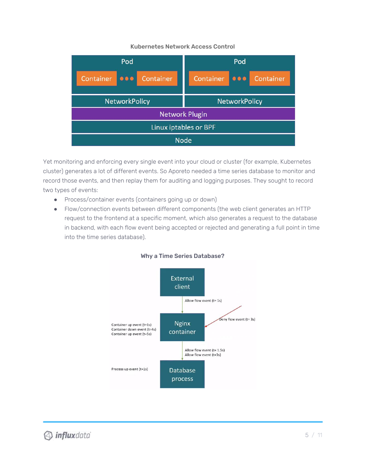#### Kubernetes Network Access Control



Yet monitoring and enforcing every single event into your cloud or cluster (for example, Kubernetes cluster) generates a lot of different events. So Aporeto needed a time series database to monitor and record those events, and then replay them for auditing and logging purposes. They sought to record two types of events:

- Process/container events (containers going up or down)
- Flow/connection events between different components (the web client generates an HTTP request to the frontend at a specific moment, which also generates a request to the database in backend, with each flow event being accepted or rejected and generating a full point in time into the time series database).



#### Why a Time Series Database?

**D** influxdata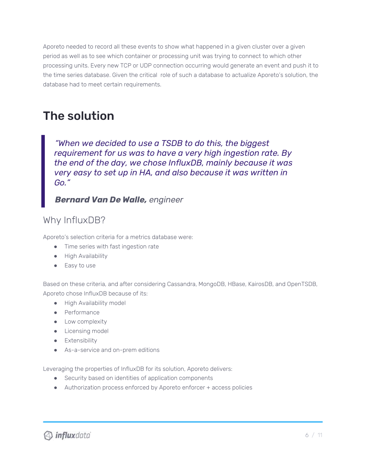Aporeto needed to record all these events to show what happened in a given cluster over a given period as well as to see which container or processing unit was trying to connect to which other processing units. Every new TCP or UDP connection occurring would generate an event and push it to the time series database. Given the critical role of such a database to actualize Aporeto's solution, the database had to meet certain requirements.

## The solution

*"When we decided to use a TSDB to do this, the biggest requirement for us was to have a very high ingestion rate. By the end of the day, we chose InfluxDB, mainly because it was very easy to set up in HA, and also because it was written in Go."*

### *Bernard Van De Walle, engineer*

### Why InfluxDB?

Aporeto's selection criteria for a metrics database were:

- Time series with fast ingestion rate
- High Availability
- Easy to use

Based on these criteria, and after considering Cassandra, MongoDB, HBase, KairosDB, and OpenTSDB, Aporeto chose InfluxDB because of its:

- High Availability model
- Performance
- **•** Low complexity
- **•** Licensing model
- **•** Extensibility
- As-a-service and on-prem editions

Leveraging the properties of InfluxDB for its solution, Aporeto delivers:

- Security based on identities of application components
- Authorization process enforced by Aporeto enforcer + access policies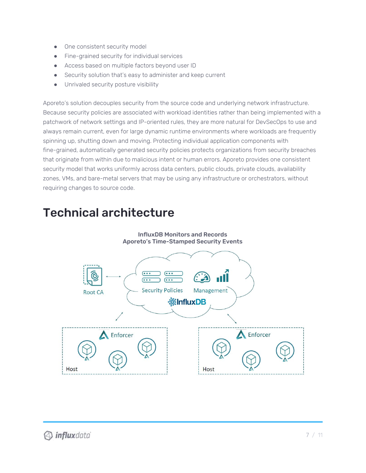- One consistent security model
- Fine-grained security for individual services
- Access based on multiple factors beyond user ID
- Security solution that's easy to administer and keep current
- Unrivaled security posture visibility

Aporeto's solution decouples security from the source code and underlying network infrastructure. Because security policies are associated with workload identities rather than being implemented with a patchwork of network settings and IP-oriented rules, they are more natural for DevSecOps to use and always remain current, even for large dynamic runtime environments where workloads are frequently spinning up, shutting down and moving. Protecting individual application components with fine-grained, automatically generated security policies protects organizations from security breaches that originate from within due to malicious intent or human errors. Aporeto provides one consistent security model that works uniformly across data centers, public clouds, private clouds, availability zones, VMs, and bare-metal servers that may be using any infrastructure or orchestrators, without requiring changes to source code.

## Technical architecture

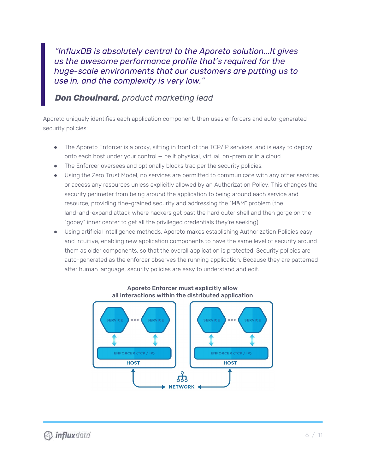*"InfluxDB is absolutely central to the Aporeto solution...It gives us the awesome performance profile that's required for the huge-scale environments that our customers are putting us to use in, and the complexity is very low."*

### *Don Chouinard, product marketing lead*

Aporeto uniquely identifies each application component, then uses enforcers and auto-generated security policies:

- The Aporeto Enforcer is a proxy, sitting in front of the TCP/IP services, and is easy to deploy onto each host under your control — be it physical, virtual, on-prem or in a cloud.
- The Enforcer oversees and optionally blocks trac per the security policies.
- Using the Zero Trust Model, no services are permitted to communicate with any other services or access any resources unless explicitly allowed by an Authorization Policy. This changes the security perimeter from being around the application to being around each service and resource, providing fine-grained security and addressing the "M&M" problem (the land-and-expand attack where hackers get past the hard outer shell and then gorge on the "gooey" inner center to get all the privileged credentials they're seeking).
- Using artificial intelligence methods, Aporeto makes establishing Authorization Policies easy and intuitive, enabling new application components to have the same level of security around them as older components, so that the overall application is protected. Security policies are auto-generated as the enforcer observes the running application. Because they are patterned after human language, security policies are easy to understand and edit.



#### Aporeto Enforcer must explicitly allow all interactions within the distributed application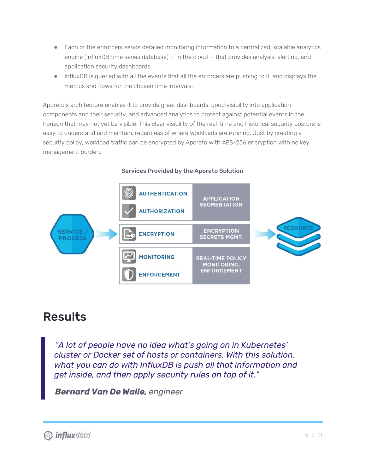- Each of the enforcers sends detailed monitoring information to a centralized, scalable analytics engine (InfluxDB time series database) — in the cloud — that provides analysis, alerting, and application security dashboards.
- InfluxDB is queried with all the events that all the enforcers are pushing to it, and displays the metrics and flows for the chosen time intervals.

Aporeto's architecture enables it to provide great dashboards, good visibility into application components and their security, and advanced analytics to protect against potential events in the horizon that may not yet be visible. This clear visibility of the real-time and historical security posture is easy to understand and maintain, regardless of where workloads are running. Just by creating a security policy, workload traffic can be encrypted by Aporeto with AES-256 encryption with no key management burden.

#### **AUTHENTICATION APPLICATION SEGMENTATION AUTHORIZATION RESOURC ENCRYPTION SERVICE ENCRYPTION SECRETS MGMT. PROCESS MONITORING REAL-TIME POLICY MONITORING, ENFORCEMENT ENFORCEMENT**

### Services Provided by the Aporeto Solution

## Results

*"A lot of people have no idea what's going on in Kubernetes' cluster or Docker set of hosts or containers. With this solution, what you can do with InfluxDB is push all that information and get inside, and then apply security rules on top of it."*

*Bernard Van De Walle, engineer*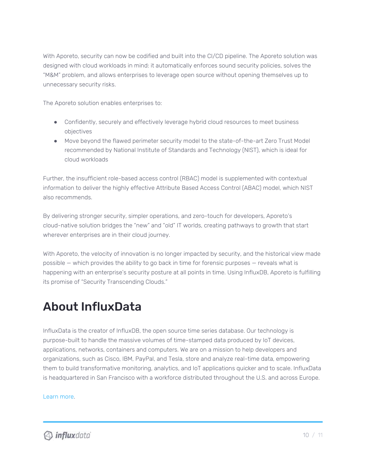With Aporeto, security can now be codified and built into the CI/CD pipeline. The Aporeto solution was designed with cloud workloads in mind: it automatically enforces sound security policies, solves the "M&M" problem, and allows enterprises to leverage open source without opening themselves up to unnecessary security risks.

The Aporeto solution enables enterprises to:

- Confidently, securely and effectively leverage hybrid cloud resources to meet business objectives
- Move beyond the flawed perimeter security model to the state-of-the-art Zero Trust Model recommended by National Institute of Standards and Technology (NIST), which is ideal for cloud workloads

Further, the insufficient role-based access control (RBAC) model is supplemented with contextual information to deliver the highly effective Attribute Based Access Control (ABAC) model, which NIST also recommends.

By delivering stronger security, simpler operations, and zero-touch for developers, Aporeto's cloud-native solution bridges the "new" and "old" IT worlds, creating pathways to growth that start wherever enterprises are in their cloud journey.

With Aporeto, the velocity of innovation is no longer impacted by security, and the historical view made possible — which provides the ability to go back in time for forensic purposes — reveals what is happening with an enterprise's security posture at all points in time. Using InfluxDB, Aporeto is fulfilling its promise of "Security Transcending Clouds."

## About InfluxData

InfluxData is the creator of InfluxDB, the open source time series database. Our technology is purpose-built to handle the massive volumes of time-stamped data produced by IoT devices, applications, networks, containers and computers. We are on a mission to help developers and organizations, such as Cisco, IBM, PayPal, and Tesla, store and analyze real-time data, empowering them to build transformative monitoring, analytics, and IoT applications quicker and to scale. InfluxData is headquartered in San Francisco with a workforce distributed throughout the U.S. and across Europe.

### [Learn](http://www.influxdata.com/) more.